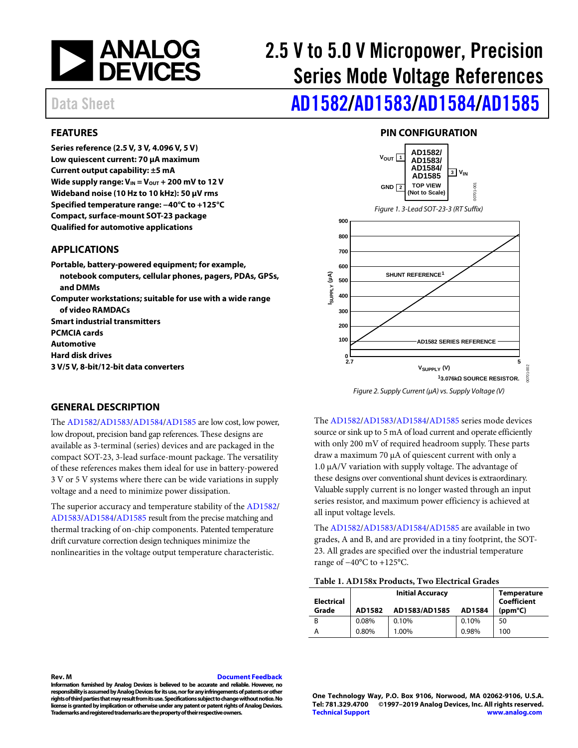

# 2.5 V to 5.0 V Micropower, Precision Series Mode Voltage References

Data Sheet **[AD1582/](https://www.analog.com/AD1582?doc=AD1582_1583_1584_1585.pdf)[AD1583](https://www.analog.com/AD1583?doc=AD1582_1583_1584_1585.pdf)/[AD1584/](https://www.analog.com/AD1584?doc=AD1582_1583_1584_1585.pdf)[AD1585](https://www.analog.com/AD1585?doc=AD1582_1583_1584_1585.pdf)** 

#### <span id="page-0-0"></span>**FEATURES**

**Series reference (2.5 V, 3 V, 4.096 V, 5 V) Low quiescent current: 70 µA maximum Current output capability: ±5 mA** Wide supply range:  $V_{IN} = V_{OUT} + 200$  mV to 12 V **Wideband noise (10 Hz to 10 kHz): 50 µV rms Specified temperature range: −40°C to +125°C Compact, surface-mount SOT-23 package Qualified for automotive applications**

#### <span id="page-0-1"></span>**APPLICATIONS**

**Portable, battery-powered equipment; for example, notebook computers, cellular phones, pagers, PDAs, GPSs, and DMMs Computer workstations; suitable for use with a wide range of video RAMDACs Smart industrial transmitters PCMCIA cards Automotive Hard disk drives 3 V/5 V, 8-bit/12-bit data converters**

### **PIN CONFIGURATION**

<span id="page-0-2"></span>

#### <span id="page-0-3"></span>**GENERAL DESCRIPTION**

The [AD1582](http://www.analog.com/AD1582?doc=AD1582_1583_1584_1585.pdf)[/AD1583/](http://www.analog.com/AD1583?doc=AD1582_1583_1584_1585.pdf)[AD1584/](http://www.analog.com/AD1584?doc=AD1582_1583_1584_1585.pdf)[AD1585](http://www.analog.com/AD1585?doc=AD1582_1583_1584_1585.pdf) are low cost, low power, low dropout, precision band gap references. These designs are available as 3-terminal (series) devices and are packaged in the compact SOT-23, 3-lead surface-mount package. The versatility of these references makes them ideal for use in battery-powered 3 V or 5 V systems where there can be wide variations in supply voltage and a need to minimize power dissipation.

The superior accuracy and temperature stability of th[e AD1582/](http://www.analog.com/AD1582?doc=AD1582_1583_1584_1585.pdf) [AD1583](http://www.analog.com/AD1583?doc=AD1582_1583_1584_1585.pdf)[/AD1584](http://www.analog.com/AD1584?doc=AD1582_1583_1584_1585.pdf)[/AD1585](http://www.analog.com/AD1585?doc=AD1582_1583_1584_1585.pdf) result from the precise matching and thermal tracking of on-chip components. Patented temperature drift curvature correction design techniques minimize the nonlinearities in the voltage output temperature characteristic.

The [AD1582](http://www.analog.com/AD1582?doc=AD1582_1583_1584_1585.pdf)[/AD1583/](http://www.analog.com/AD1583?doc=AD1582_1583_1584_1585.pdf)[AD1584/](http://www.analog.com/AD1584?doc=AD1582_1583_1584_1585.pdf)[AD1585](http://www.analog.com/AD1585?doc=AD1582_1583_1584_1585.pdf) series mode devices source or sink up to 5 mA of load current and operate efficiently with only 200 mV of required headroom supply. These parts draw a maximum 70 μA of quiescent current with only a 1.0 μA/V variation with supply voltage. The advantage of these designs over conventional shunt devices is extraordinary. Valuable supply current is no longer wasted through an input series resistor, and maximum power efficiency is achieved at all input voltage levels.

The [AD1582](http://www.analog.com/AD1582?doc=AD1582_1583_1584_1585.pdf)[/AD1583/](http://www.analog.com/AD1583?doc=AD1582_1583_1584_1585.pdf)[AD1584/](http://www.analog.com/AD1584?doc=AD1582_1583_1584_1585.pdf)[AD1585](http://www.analog.com/AD1585?doc=AD1582_1583_1584_1585.pdf) are available in two grades, A and B, and are provided in a tiny footprint, the SOT-23. All grades are specified over the industrial temperature range of −40°C to +125°C.

| Table 1. AD158x Products, Two Electrical Grades |  |  |
|-------------------------------------------------|--|--|
|-------------------------------------------------|--|--|

| <b>Electrical</b> | <b>Initial Accuracy</b> |               | <b>Temperature</b><br><b>Coefficient</b> |                  |
|-------------------|-------------------------|---------------|------------------------------------------|------------------|
| Grade             | AD1582                  | AD1583/AD1585 | AD1584                                   | $(ppm^{\circ}C)$ |
| B                 | 0.08%                   | 0.10%         | 0.10%                                    | 50               |
|                   | 0.80%                   | 1.00%         | 0.98%                                    | 100              |

#### **Rev. M [Document Feedback](https://form.analog.com/Form_Pages/feedback/documentfeedback.aspx?doc=AD1582-1583-1584-1585.pdf&product=AD1582%20AD1583%20AD1584%20AD1585&rev=M)**

**Information furnished by Analog Devices is believed to be accurate and reliable. However, no responsibility is assumed by Analog Devices for its use, nor for any infringements of patents or other rights of third parties that may result from its use. Specifications subject to change without notice. No**  license is granted by implication or otherwise under any patent or patent rights of Analog Devices. **Trademarks and registered trademarks are the property of their respective owners.**

**One Technology Way, P.O. Box 9106, Norwood, MA 02062-9106, U.S.A. Tel: 781.329.4700 ©1997–2019 Analog Devices, Inc. All rights reserved. [Technical Support](http://www.analog.com/en/content/technical_support_page/fca.html) [www.analog.com](http://www.analog.com/)**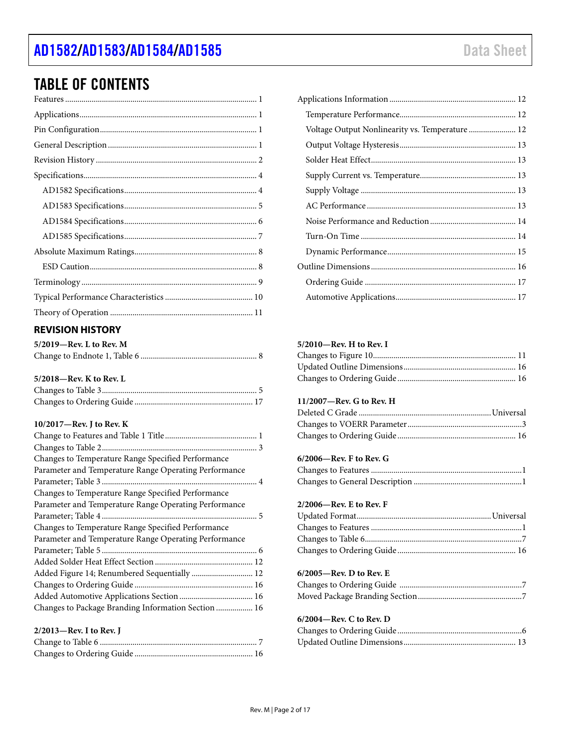# TABLE OF CONTENTS

# <span id="page-1-0"></span>**REVISION HISTORY**

| $5/2019$ —Rev. L to Rev. M |  |
|----------------------------|--|
|                            |  |

### **5/2018—Rev. K to Rev. L**

#### **10/2017—Rev. J to Rev. K**

| Changes to Temperature Range Specified Performance<br>Parameter and Temperature Range Operating Performance<br>Parameter and Temperature Range Operating Performance<br>Parameter and Temperature Range Operating Performance<br>Added Figure 14; Renumbered Sequentially  12 |                                                     |
|-------------------------------------------------------------------------------------------------------------------------------------------------------------------------------------------------------------------------------------------------------------------------------|-----------------------------------------------------|
|                                                                                                                                                                                                                                                                               |                                                     |
|                                                                                                                                                                                                                                                                               |                                                     |
|                                                                                                                                                                                                                                                                               |                                                     |
|                                                                                                                                                                                                                                                                               |                                                     |
|                                                                                                                                                                                                                                                                               | Changes to Temperature Range Specified Performance  |
|                                                                                                                                                                                                                                                                               |                                                     |
|                                                                                                                                                                                                                                                                               |                                                     |
|                                                                                                                                                                                                                                                                               | Changes to Temperature Range Specified Performance  |
|                                                                                                                                                                                                                                                                               |                                                     |
|                                                                                                                                                                                                                                                                               |                                                     |
|                                                                                                                                                                                                                                                                               |                                                     |
|                                                                                                                                                                                                                                                                               |                                                     |
|                                                                                                                                                                                                                                                                               |                                                     |
|                                                                                                                                                                                                                                                                               |                                                     |
|                                                                                                                                                                                                                                                                               | Changes to Package Branding Information Section  16 |
|                                                                                                                                                                                                                                                                               |                                                     |

#### **2/2013—Rev. I to Rev. J**

| Voltage Output Nonlinearity vs. Temperature  12 |
|-------------------------------------------------|
|                                                 |
|                                                 |
|                                                 |
|                                                 |
|                                                 |
|                                                 |
|                                                 |
|                                                 |
|                                                 |
|                                                 |
|                                                 |

### **5/2010—Rev. H to Rev. I**

### **11/2007—Rev. G to Rev. H**

### **6/2006—Rev. F to Rev. G**

### **2/2006—Rev. E to Rev. F**

#### **6/2005—Rev. D to Rev. E**

#### **6/2004—Rev. C to Rev. D**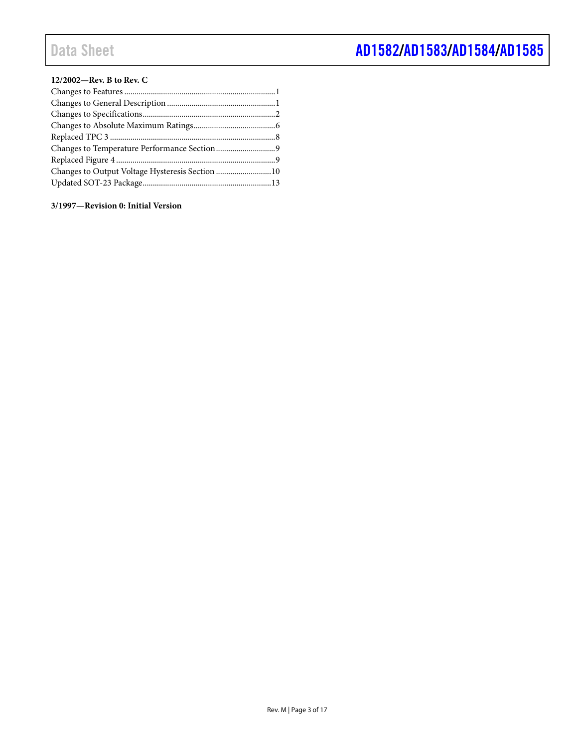### **12/2002—Rev. B to Rev. C**

| Changes to Output Voltage Hysteresis Section 10 |  |
|-------------------------------------------------|--|
|                                                 |  |

**3/1997—Revision 0: Initial Version**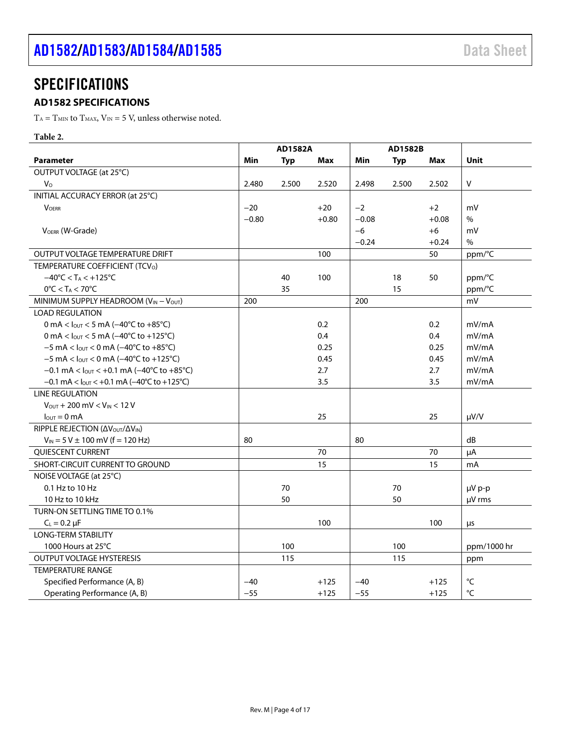# <span id="page-3-0"></span>**SPECIFICATIONS**

# <span id="page-3-1"></span>**AD1582 SPECIFICATIONS**

 $T_{\rm A}=T_{\rm MIN}$  to  $T_{\rm MAX}$  ,  $V_{\rm IN}=5$  V, unless otherwise noted.

### **Table 2.**

|                                                                                 | <b>AD1582A</b> |            |         |         | AD1582B    |            |              |
|---------------------------------------------------------------------------------|----------------|------------|---------|---------|------------|------------|--------------|
| <b>Parameter</b>                                                                | Min            | <b>Typ</b> | Max     | Min     | <b>Typ</b> | <b>Max</b> | Unit         |
| OUTPUT VOLTAGE (at 25°C)                                                        |                |            |         |         |            |            |              |
| $V_{\rm O}$                                                                     | 2.480          | 2.500      | 2.520   | 2.498   | 2.500      | 2.502      | V            |
| INITIAL ACCURACY ERROR (at 25°C)                                                |                |            |         |         |            |            |              |
| <b>VOFRR</b>                                                                    | $-20$          |            | $+20$   | $-2$    |            | $+2$       | mV           |
|                                                                                 | $-0.80$        |            | $+0.80$ | $-0.08$ |            | $+0.08$    | $\%$         |
| VOERR (W-Grade)                                                                 |                |            |         | $-6$    |            | $+6$       | mV           |
|                                                                                 |                |            |         | $-0.24$ |            | $+0.24$    | $\%$         |
| OUTPUT VOLTAGE TEMPERATURE DRIFT                                                |                |            | 100     |         |            | 50         | ppm/°C       |
| TEMPERATURE COEFFICIENT (TCV <sub>O</sub> )                                     |                |            |         |         |            |            |              |
| $-40^{\circ}$ C < T <sub>A</sub> < $+125^{\circ}$ C                             |                | 40         | 100     |         | 18         | 50         | ppm/°C       |
| $0^{\circ}$ C < T <sub>A</sub> < 70 $^{\circ}$ C                                |                | 35         |         |         | 15         |            | ppm/°C       |
| MINIMUM SUPPLY HEADROOM (VIN - VOUT)                                            | 200            |            |         | 200     |            |            | mV           |
| <b>LOAD REGULATION</b>                                                          |                |            |         |         |            |            |              |
| 0 mA < $I_{\text{OUT}}$ < 5 mA (-40°C to +85°C)                                 |                |            | 0.2     |         |            | 0.2        | mV/mA        |
| 0 mA < $I_{OUT}$ < 5 mA (-40°C to +125°C)                                       |                |            | 0.4     |         |            | 0.4        | mV/mA        |
| $-5$ mA < $I_{\text{OUT}}$ < 0 mA ( $-40^{\circ}$ C to $+85^{\circ}$ C)         |                |            | 0.25    |         |            | 0.25       | mV/mA        |
| $-5$ mA < $I_{\text{OUT}}$ < 0 mA ( $-40^{\circ}$ C to +125 $^{\circ}$ C)       |                |            | 0.45    |         |            | 0.45       | mV/mA        |
| $-0.1$ mA < $I_{\text{OUT}}$ < $+0.1$ mA ( $-40^{\circ}$ C to $+85^{\circ}$ C)  |                |            | 2.7     |         |            | 2.7        | mV/mA        |
| $-0.1$ mA < $I_{\text{OUT}}$ < $+0.1$ mA ( $-40^{\circ}$ C to $+125^{\circ}$ C) |                |            | 3.5     |         |            | 3.5        | mV/mA        |
| <b>LINE REGULATION</b>                                                          |                |            |         |         |            |            |              |
| $V_{\text{OUT}} + 200 \text{ mV} < V_{\text{IN}} < 12 \text{ V}$                |                |            |         |         |            |            |              |
| $I_{\text{OUT}} = 0$ mA                                                         |                |            | 25      |         |            | 25         | $\mu V/V$    |
| RIPPLE REJECTION (ΔV <sub>OUT</sub> /ΔV <sub>IN</sub> )                         |                |            |         |         |            |            |              |
| $V_{IN}$ = 5 V $\pm$ 100 mV (f = 120 Hz)                                        | 80             |            |         | 80      |            |            | dB           |
| QUIESCENT CURRENT                                                               |                |            | 70      |         |            | 70         | μA           |
| SHORT-CIRCUIT CURRENT TO GROUND                                                 |                |            | 15      |         |            | 15         | mA           |
| NOISE VOLTAGE (at 25°C)                                                         |                |            |         |         |            |            |              |
| 0.1 Hz to 10 Hz                                                                 |                | 70         |         |         | 70         |            | µV p-p       |
| 10 Hz to 10 kHz                                                                 |                | 50         |         |         | 50         |            | µV rms       |
| TURN-ON SETTLING TIME TO 0.1%                                                   |                |            |         |         |            |            |              |
| $C_L = 0.2 \mu F$                                                               |                |            | 100     |         |            | 100        | μs           |
| <b>LONG-TERM STABILITY</b>                                                      |                |            |         |         |            |            |              |
| 1000 Hours at 25°C                                                              |                | 100        |         |         | 100        |            | ppm/1000 hr  |
| OUTPUT VOLTAGE HYSTERESIS                                                       |                | 115        |         |         | 115        |            | ppm          |
| <b>TEMPERATURE RANGE</b>                                                        |                |            |         |         |            |            |              |
| Specified Performance (A, B)                                                    | $-40$          |            | $+125$  | $-40$   |            | $+125$     | $^{\circ}$ C |
| Operating Performance (A, B)                                                    | $-55$          |            | $+125$  | $-55$   |            | $+125$     | °C           |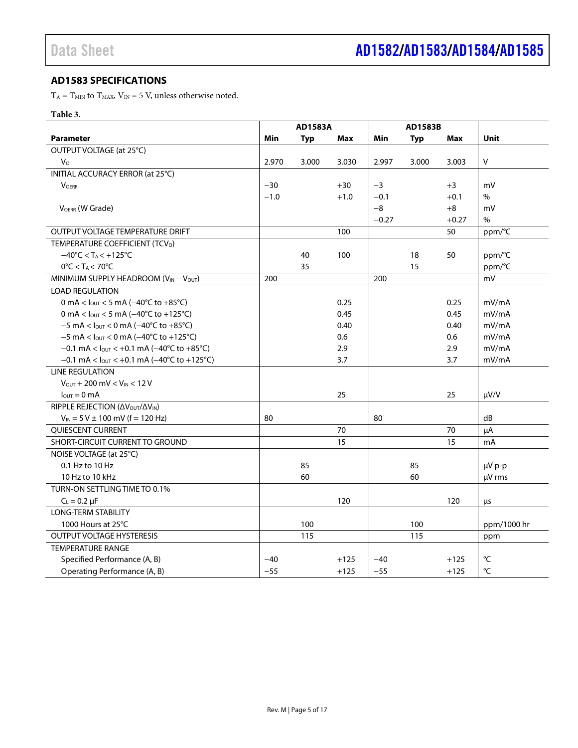# <span id="page-4-0"></span>**AD1583 SPECIFICATIONS**

 $T_{\rm A}=T_{\rm MIN}$  to  $T_{\rm MAX}$  ,  $V_{\rm IN}=5$  V, unless otherwise noted.

### **Table 3.**

|                                                                                | <b>AD1583A</b><br><b>AD1583B</b> |            |        |         |            |         |             |
|--------------------------------------------------------------------------------|----------------------------------|------------|--------|---------|------------|---------|-------------|
| <b>Parameter</b>                                                               | Min                              | <b>Typ</b> | Max    | Min     | <b>Typ</b> | Max     | Unit        |
| OUTPUT VOLTAGE (at 25°C)                                                       |                                  |            |        |         |            |         |             |
| $V_{\Omega}$                                                                   | 2.970                            | 3.000      | 3.030  | 2.997   | 3.000      | 3.003   | V           |
| INITIAL ACCURACY ERROR (at 25°C)                                               |                                  |            |        |         |            |         |             |
| <b>VOERR</b>                                                                   | $-30$                            |            | $+30$  | $-3$    |            | $+3$    | mV          |
|                                                                                | $-1.0$                           |            | $+1.0$ | $-0.1$  |            | $+0.1$  | $\%$        |
| VOERR (W Grade)                                                                |                                  |            |        | $-8$    |            | $+8$    | mV          |
|                                                                                |                                  |            |        | $-0.27$ |            | $+0.27$ | $\%$        |
| OUTPUT VOLTAGE TEMPERATURE DRIFT                                               |                                  |            | 100    |         |            | 50      | ppm/°C      |
| TEMPERATURE COEFFICIENT (TCV <sub>O</sub> )                                    |                                  |            |        |         |            |         |             |
| $-40^{\circ}$ C < T <sub>A</sub> < +125 $^{\circ}$ C                           |                                  | 40         | 100    |         | 18         | 50      | ppm/°C      |
| $0^{\circ}$ C < T <sub>A</sub> < 70 $^{\circ}$ C                               |                                  | 35         |        |         | 15         |         | ppm/°C      |
| MINIMUM SUPPLY HEADROOM ( $V_{IN} - V_{OUT}$ )                                 | 200                              |            |        | 200     |            |         | mV          |
| <b>LOAD REGULATION</b>                                                         |                                  |            |        |         |            |         |             |
| 0 mA < $I_{OUT}$ < 5 mA (-40°C to +85°C)                                       |                                  |            | 0.25   |         |            | 0.25    | mV/mA       |
| 0 mA < $I_{\text{OUT}}$ < 5 mA (-40°C to +125°C)                               |                                  |            | 0.45   |         |            | 0.45    | mV/mA       |
| $-5$ mA < $I_{\text{OUT}}$ < 0 mA ( $-40^{\circ}$ C to $+85^{\circ}$ C)        |                                  |            | 0.40   |         |            | 0.40    | mV/mA       |
| $-5$ mA < $I_{OUT}$ < 0 mA ( $-40^{\circ}$ C to +125 $^{\circ}$ C)             |                                  |            | 0.6    |         |            | 0.6     | mV/mA       |
| $-0.1$ mA < l <sub>out</sub> < +0.1 mA ( $-40^{\circ}$ C to +85 $^{\circ}$ C)  |                                  |            | 2.9    |         |            | 2.9     | mV/mA       |
| $-0.1$ mA < $I_{\text{OUT}}$ < +0.1 mA ( $-40^{\circ}$ C to +125 $^{\circ}$ C) |                                  |            | 3.7    |         |            | 3.7     | mV/mA       |
| <b>LINE REGULATION</b>                                                         |                                  |            |        |         |            |         |             |
| $V_{\text{OUT}} + 200 \text{ mV} < V_{\text{IN}} < 12 \text{ V}$               |                                  |            |        |         |            |         |             |
| $I_{\text{OUT}} = 0 \text{ mA}$                                                |                                  |            | 25     |         |            | 25      | $\mu V/V$   |
| RIPPLE REJECTION (ΔV <sub>OUT</sub> /ΔV <sub>IN</sub> )                        |                                  |            |        |         |            |         |             |
| $V_{IN}$ = 5 V $\pm$ 100 mV (f = 120 Hz)                                       | 80                               |            |        | 80      |            |         | dB          |
| <b>OUIESCENT CURRENT</b>                                                       |                                  |            | 70     |         |            | 70      | μA          |
| SHORT-CIRCUIT CURRENT TO GROUND                                                |                                  |            | 15     |         |            | 15      | mA          |
| NOISE VOLTAGE (at 25°C)                                                        |                                  |            |        |         |            |         |             |
| 0.1 Hz to 10 Hz                                                                |                                  | 85         |        |         | 85         |         | µV p-p      |
| 10 Hz to 10 kHz                                                                |                                  | 60         |        |         | 60         |         | $\mu$ V rms |
| TURN-ON SETTLING TIME TO 0.1%                                                  |                                  |            |        |         |            |         |             |
| $C_L = 0.2 \mu F$                                                              |                                  |            | 120    |         |            | 120     | μs          |
| <b>LONG-TERM STABILITY</b>                                                     |                                  |            |        |         |            |         |             |
| 1000 Hours at 25°C                                                             |                                  | 100        |        |         | 100        |         | ppm/1000 hr |
| <b>OUTPUT VOLTAGE HYSTERESIS</b>                                               |                                  | 115        |        |         | 115        |         | ppm         |
| <b>TEMPERATURE RANGE</b>                                                       |                                  |            |        |         |            |         |             |
| Specified Performance (A, B)                                                   | $-40$                            |            | $+125$ | $-40$   |            | $+125$  | °C          |
| Operating Performance (A, B)                                                   | $-55$                            |            | $+125$ | $-55$   |            | $+125$  | °C          |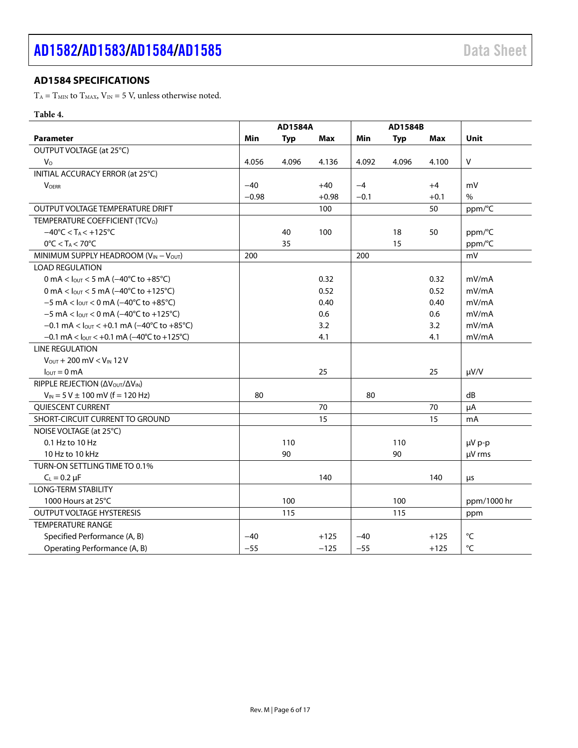# <span id="page-5-0"></span>**AD1584 SPECIFICATIONS**

 $T_{\rm A}=T_{\rm MIN}$  to  $T_{\rm MAX}$  ,  $V_{\rm IN}=5$  V, unless otherwise noted.

# **Table 4.**

|                                                                                | <b>AD1584A</b> |            |         |        | AD1584B    |            |             |
|--------------------------------------------------------------------------------|----------------|------------|---------|--------|------------|------------|-------------|
| <b>Parameter</b>                                                               | Min            | <b>Typ</b> | Max     | Min    | <b>Typ</b> | <b>Max</b> | <b>Unit</b> |
| OUTPUT VOLTAGE (at 25°C)                                                       |                |            |         |        |            |            |             |
| $V_{\rm O}$                                                                    | 4.056          | 4.096      | 4.136   | 4.092  | 4.096      | 4.100      | $\vee$      |
| INITIAL ACCURACY ERROR (at 25°C)                                               |                |            |         |        |            |            |             |
| <b>VOFRR</b>                                                                   | $-40$          |            | $+40$   | $-4$   |            | $+4$       | mV          |
|                                                                                | $-0.98$        |            | $+0.98$ | $-0.1$ |            | $+0.1$     | $\%$        |
| OUTPUT VOLTAGE TEMPERATURE DRIFT                                               |                |            | 100     |        |            | 50         | ppm/°C      |
| TEMPERATURE COEFFICIENT (TCVo)                                                 |                |            |         |        |            |            |             |
| $-40^{\circ}$ C < T <sub>A</sub> < $+125^{\circ}$ C                            |                | 40         | 100     |        | 18         | 50         | ppm/°C      |
| $0^{\circ}$ C < TA < 70 $^{\circ}$ C                                           |                | 35         |         |        | 15         |            | ppm/°C      |
| MINIMUM SUPPLY HEADROOM (VIN - VOUT)                                           | 200            |            |         | 200    |            |            | mV          |
| <b>LOAD REGULATION</b>                                                         |                |            |         |        |            |            |             |
| 0 mA < $I_{\text{OUT}}$ < 5 mA (-40°C to +85°C)                                |                |            | 0.32    |        |            | 0.32       | mV/mA       |
| 0 mA < $I_{OUT}$ < 5 mA (-40°C to +125°C)                                      |                |            | 0.52    |        |            | 0.52       | mV/mA       |
| $-5$ mA < $I_{\text{OUT}}$ < 0 mA ( $-40^{\circ}$ C to $+85^{\circ}$ C)        |                |            | 0.40    |        |            | 0.40       | mV/mA       |
| $-5$ mA < $I_{\text{OUT}}$ < 0 mA ( $-40^{\circ}$ C to +125 $^{\circ}$ C)      |                |            | 0.6     |        |            | 0.6        | mV/mA       |
| $-0.1$ mA < $I_{\text{OUT}}$ < $+0.1$ mA ( $-40^{\circ}$ C to $+85^{\circ}$ C) |                |            | 3.2     |        |            | 3.2        | mV/mA       |
| $-0.1$ mA < $I_{\text{OUT}}$ < +0.1 mA ( $-40^{\circ}$ C to +125 $^{\circ}$ C) |                |            | 4.1     |        |            | 4.1        | mV/mA       |
| <b>LINE REGULATION</b>                                                         |                |            |         |        |            |            |             |
| $V_{\text{OUT}} + 200 \text{ mV} < V_{\text{IN}} 12 \text{ V}$                 |                |            |         |        |            |            |             |
| $I_{\text{OUT}} = 0 \text{ mA}$                                                |                |            | 25      |        |            | 25         | $\mu V/V$   |
| RIPPLE REJECTION (ΔV <sub>OUT</sub> /ΔV <sub>IN</sub> )                        |                |            |         |        |            |            |             |
| $V_{IN}$ = 5 V $\pm$ 100 mV (f = 120 Hz)                                       | 80             |            |         | 80     |            |            | dB          |
| QUIESCENT CURRENT                                                              |                |            | 70      |        |            | 70         | μA          |
| SHORT-CIRCUIT CURRENT TO GROUND                                                |                |            | 15      |        |            | 15         | mA          |
| NOISE VOLTAGE (at 25°C)                                                        |                |            |         |        |            |            |             |
| 0.1 Hz to 10 Hz                                                                |                | 110        |         |        | 110        |            | µV p-p      |
| 10 Hz to 10 kHz                                                                |                | 90         |         |        | 90         |            | µV rms      |
| TURN-ON SETTLING TIME TO 0.1%                                                  |                |            |         |        |            |            |             |
| $C_{L} = 0.2 \mu F$                                                            |                |            | 140     |        |            | 140        | μs          |
| <b>LONG-TERM STABILITY</b>                                                     |                |            |         |        |            |            |             |
| 1000 Hours at 25°C                                                             |                | 100        |         |        | 100        |            | ppm/1000 hr |
| <b>OUTPUT VOLTAGE HYSTERESIS</b>                                               |                | 115        |         |        | 115        |            | ppm         |
| <b>TEMPERATURE RANGE</b>                                                       |                |            |         |        |            |            |             |
| Specified Performance (A, B)                                                   | $-40$          |            | $+125$  | $-40$  |            | $+125$     | °C          |
| Operating Performance (A, B)                                                   | $-55$          |            | $-125$  | $-55$  |            | $+125$     | °C          |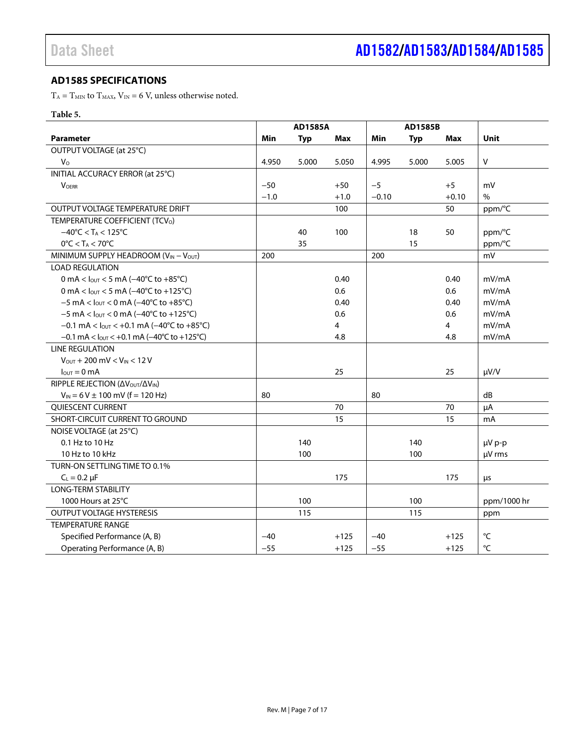# <span id="page-6-0"></span>**AD1585 SPECIFICATIONS**

 $T_{\rm A}=T_{\rm MIN}$  to  $T_{\rm MAX}$  ,  $V_{\rm IN}=6$  V, unless otherwise noted.

### **Table 5.**

|                                                                                | <b>AD1585A</b> |            |        |         | <b>AD1585B</b> |         |             |
|--------------------------------------------------------------------------------|----------------|------------|--------|---------|----------------|---------|-------------|
| <b>Parameter</b>                                                               | Min            | <b>Typ</b> | Max    | Min     | <b>Typ</b>     | Max     | <b>Unit</b> |
| OUTPUT VOLTAGE (at 25°C)                                                       |                |            |        |         |                |         |             |
| $V_{\rm O}$                                                                    | 4.950          | 5.000      | 5.050  | 4.995   | 5.000          | 5.005   | $\vee$      |
| INITIAL ACCURACY ERROR (at 25°C)                                               |                |            |        |         |                |         |             |
| <b>VOERR</b>                                                                   | $-50$          |            | $+50$  | $-5$    |                | $+5$    | mV          |
|                                                                                | $-1.0$         |            | $+1.0$ | $-0.10$ |                | $+0.10$ | $\%$        |
| OUTPUT VOLTAGE TEMPERATURE DRIFT                                               |                |            | 100    |         |                | 50      | ppm/°C      |
| TEMPERATURE COEFFICIENT (TCV <sub>O</sub> )                                    |                |            |        |         |                |         |             |
| $-40^{\circ}$ C < T <sub>A</sub> < 125 $^{\circ}$ C                            |                | 40         | 100    |         | 18             | 50      | ppm/°C      |
| $0^{\circ}$ C < T <sub>A</sub> < 70 $^{\circ}$ C                               |                | 35         |        |         | 15             |         | ppm/°C      |
| MINIMUM SUPPLY HEADROOM (VIN - VOUT)                                           | 200            |            |        | 200     |                |         | mV          |
| <b>LOAD REGULATION</b>                                                         |                |            |        |         |                |         |             |
| 0 mA < $I_{\text{OUT}}$ < 5 mA (-40°C to +85°C)                                |                |            | 0.40   |         |                | 0.40    | mV/mA       |
| 0 mA < $I_{OUT}$ < 5 mA (-40°C to +125°C)                                      |                |            | 0.6    |         |                | 0.6     | mV/mA       |
| $-5$ mA < $I_{\text{OUT}}$ < 0 mA ( $-40^{\circ}$ C to $+85^{\circ}$ C)        |                |            | 0.40   |         |                | 0.40    | mV/mA       |
| $-5$ mA < $I_{QUT}$ < 0 mA ( $-40^{\circ}$ C to +125 $^{\circ}$ C)             |                |            | 0.6    |         |                | 0.6     | mV/mA       |
| $-0.1$ mA < $I_{\text{OUT}}$ < +0.1 mA ( $-40^{\circ}$ C to +85 $^{\circ}$ C)  |                |            | 4      |         |                | 4       | mV/mA       |
| $-0.1$ mA < $I_{\text{OUT}}$ < +0.1 mA ( $-40^{\circ}$ C to +125 $^{\circ}$ C) |                |            | 4.8    |         |                | 4.8     | mV/mA       |
| <b>LINE REGULATION</b>                                                         |                |            |        |         |                |         |             |
| $V_{\text{OUT}} + 200 \text{ mV} < V_{\text{IN}} < 12 \text{ V}$               |                |            |        |         |                |         |             |
| $I_{\text{OUT}} = 0 \text{ mA}$                                                |                |            | 25     |         |                | 25      | $\mu V/V$   |
| RIPPLE REJECTION (ΔVOUT/ΔVIN)                                                  |                |            |        |         |                |         |             |
| $V_{IN}$ = 6 V $\pm$ 100 mV (f = 120 Hz)                                       | 80             |            |        | 80      |                |         | dB          |
| QUIESCENT CURRENT                                                              |                |            | 70     |         |                | 70      | μA          |
| SHORT-CIRCUIT CURRENT TO GROUND                                                |                |            | 15     |         |                | 15      | mA          |
| NOISE VOLTAGE (at 25°C)                                                        |                |            |        |         |                |         |             |
| $0.1$ Hz to $10$ Hz                                                            |                | 140        |        |         | 140            |         | µV p-p      |
| 10 Hz to 10 kHz                                                                |                | 100        |        |         | 100            |         | µV rms      |
| TURN-ON SETTLING TIME TO 0.1%                                                  |                |            |        |         |                |         |             |
| $C_{L} = 0.2 \mu F$                                                            |                |            | 175    |         |                | 175     | μs          |
| <b>LONG-TERM STABILITY</b>                                                     |                |            |        |         |                |         |             |
| 1000 Hours at 25°C                                                             |                | 100        |        |         | 100            |         | ppm/1000 hr |
| <b>OUTPUT VOLTAGE HYSTERESIS</b>                                               |                | 115        |        |         | 115            |         | ppm         |
| <b>TEMPERATURE RANGE</b>                                                       |                |            |        |         |                |         |             |
| Specified Performance (A, B)                                                   | $-40$          |            | $+125$ | $-40$   |                | $+125$  | °C          |
| Operating Performance (A, B)                                                   | $-55$          |            | $+125$ | $-55$   |                | $+125$  | °C          |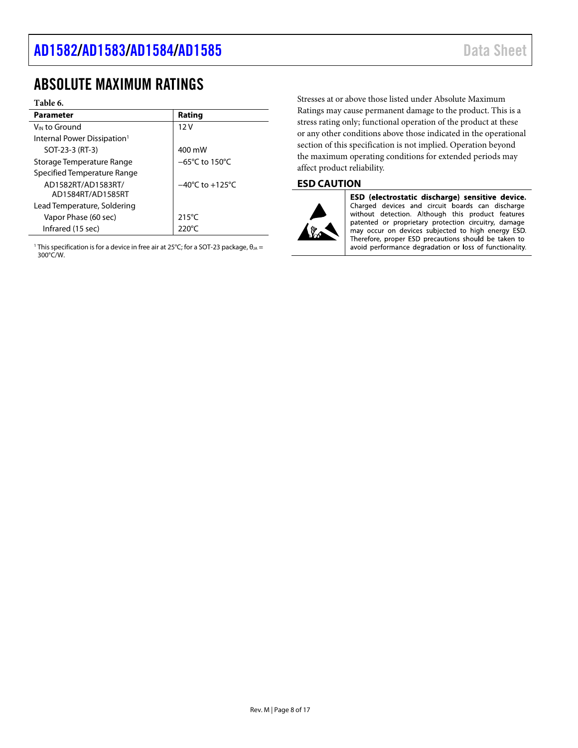# <span id="page-7-0"></span>ABSOLUTE MAXIMUM RATINGS

#### **Table 6.**

| <b>Parameter</b>                        | Rating                              |
|-----------------------------------------|-------------------------------------|
| V <sub>IN</sub> to Ground               | 12V                                 |
| Internal Power Dissipation <sup>1</sup> |                                     |
| SOT-23-3 (RT-3)                         | 400 mW                              |
| Storage Temperature Range               | $-65^{\circ}$ C to 150 $^{\circ}$ C |
| Specified Temperature Range             |                                     |
| AD1582RT/AD1583RT/                      | $-40^{\circ}$ C to $+125^{\circ}$ C |
| AD1584RT/AD1585RT                       |                                     |
| Lead Temperature, Soldering             |                                     |
| Vapor Phase (60 sec)                    | $215^{\circ}$ C                     |
| Infrared (15 sec)                       | 220°C                               |

<sup>1</sup> This specification is for a device in free air at 25°C; for a SOT-23 package,  $\theta_{JA} =$ 300°C/W.

Stresses at or above those listed under Absolute Maximum Ratings may cause permanent damage to the product. This is a stress rating only; functional operation of the product at these or any other conditions above those indicated in the operational section of this specification is not implied. Operation beyond the maximum operating conditions for extended periods may affect product reliability.

# <span id="page-7-1"></span>**ESD CAUTION**



ESD (electrostatic discharge) sensitive device. Charged devices and circuit boards can discharge without detection. Although this product features patented or proprietary protection circuitry, damage may occur on devices subjected to high energy ESD. Therefore, proper ESD precautions should be taken to avoid performance degradation or loss of functionality.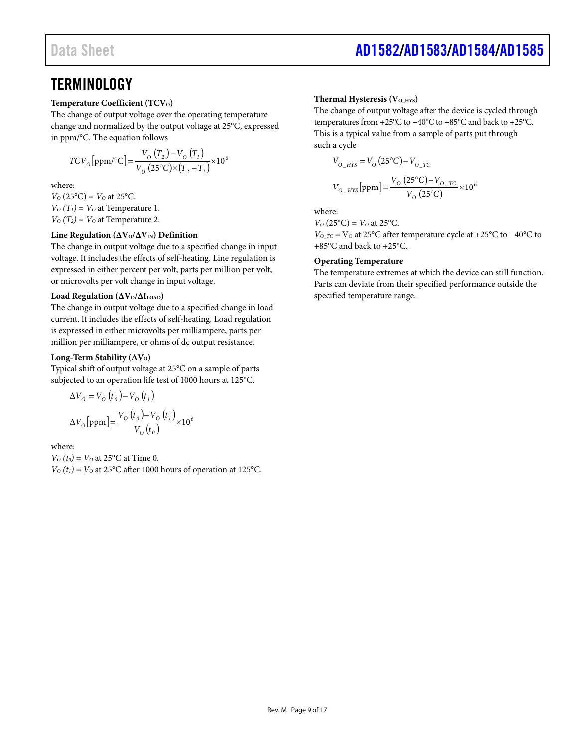# <span id="page-8-0"></span>**TERMINOLOGY**

#### **Temperature Coefficient (TCV<sub>O</sub>)**

The change of output voltage over the operating temperature change and normalized by the output voltage at 25°C, expressed in ppm/°C. The equation follows

$$
TCV_{O}\left[ppm/{}^{o}C\right]=\frac{V_{O}\left(T_{2}\right)-V_{O}\left(T_{1}\right)}{V_{O}\left(25^{o}C\right)\times\left(T_{2}-T_{1}\right)}\times10^{6}
$$

where:

 $V_0(25^{\circ}C) = V_0$  at 25 $^{\circ}C$ .  $V_0(T_1) = V_0$  at Temperature 1.  $V_0(T_2) = V_0$  at Temperature 2.

#### **Line Regulation (ΔV<sub>O</sub>/ΔV<sub>IN</sub>) Definition**

The change in output voltage due to a specified change in input voltage. It includes the effects of self-heating. Line regulation is expressed in either percent per volt, parts per million per volt, or microvolts per volt change in input voltage.

#### **Load Regulation (ΔV<sub>O</sub>/ΔI<sub>LOAD</sub>)**

The change in output voltage due to a specified change in load current. It includes the effects of self-heating. Load regulation is expressed in either microvolts per milliampere, parts per million per milliampere, or ohms of dc output resistance.

#### **Long-Term Stability (ΔV<sub>O</sub>)**

Typical shift of output voltage at 25°C on a sample of parts subjected to an operation life test of 1000 hours at 125°C.

$$
\Delta V_{\text{o}} = V_{\text{o}}(t_{o}) - V_{\text{o}}(t_{1})
$$

$$
\Delta V_{\text{o}}[\text{ppm}] = \frac{V_{\text{o}}(t_{o}) - V_{\text{o}}(t_{1})}{V_{\text{o}}(t_{o})} \times 10^{6}
$$

where:

 $V<sub>O</sub>(t<sub>0</sub>) = V<sub>O</sub>$  at 25<sup>o</sup>C at Time 0.

 $V<sub>O</sub>(t<sub>1</sub>) = V<sub>O</sub>$  at 25°C after 1000 hours of operation at 125°C.

#### Thermal Hysteresis (V<sub>O\_HYS</sub>)

The change of output voltage after the device is cycled through temperatures from +25°C to −40°C to +85°C and back to +25°C. This is a typical value from a sample of parts put through such a cycle

$$
V_{O_{HYS}} = V_0 (25^{\circ}C) - V_{O_{T}C}
$$
  

$$
V_{O_{HYS}}[ppm] = \frac{V_0 (25^{\circ}C) - V_{O_{T}C}}{V_0 (25^{\circ}C)} \times 10^6
$$

where:

 $V_0(25^{\circ}C) = V_0$  at 25°C.

*VO\_TC* = VO at 25°C after temperature cycle at +25°C to −40°C to +85°C and back to +25°C.

#### **Operating Temperature**

The temperature extremes at which the device can still function. Parts can deviate from their specified performance outside the specified temperature range.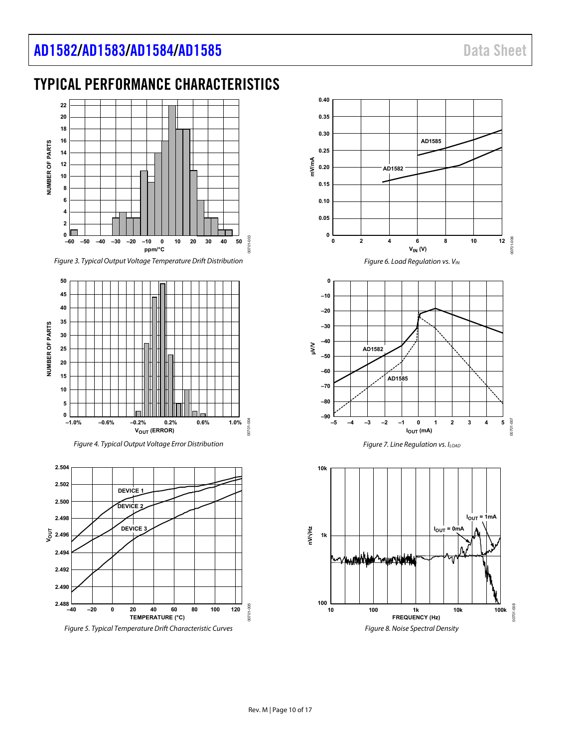# <span id="page-9-0"></span>TYPICAL PERFORMANCE CHARACTERISTICS



Figure 3. Typical Output Voltage Temperature Drift Distribution



Figure 4. Typical Output Voltage Error Distribution

<span id="page-9-1"></span>

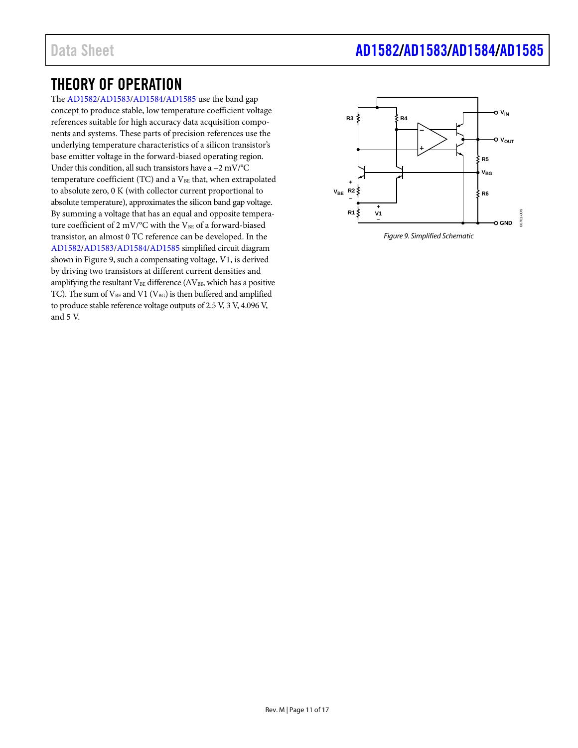# <span id="page-10-0"></span>THEORY OF OPERATION

The [AD1582](http://www.analog.com/AD1582?doc=AD1582_1583_1584_1585.pdf)[/AD1583/](http://www.analog.com/AD1583?doc=AD1582_1583_1584_1585.pdf)[AD1584/](http://www.analog.com/AD1584?doc=AD1582_1583_1584_1585.pdf)[AD1585](http://www.analog.com/AD1585?doc=AD1582_1583_1584_1585.pdf) use the band gap concept to produce stable, low temperature coefficient voltage references suitable for high accuracy data acquisition components and systems. These parts of precision references use the underlying temperature characteristics of a silicon transistor's base emitter voltage in the forward-biased operating region. Under this condition, all such transistors have a −2 mV/°C temperature coefficient (TC) and a  $V_{BE}$  that, when extrapolated to absolute zero, 0 K (with collector current proportional to absolute temperature), approximates the silicon band gap voltage. By summing a voltage that has an equal and opposite temperature coefficient of 2 mV/°C with the VBE of a forward-biased transistor, an almost 0 TC reference can be developed. In the [AD1582/](http://www.analog.com/AD1582?doc=AD1582_1583_1584_1585.pdf)[AD1583/](http://www.analog.com/AD1583?doc=AD1582_1583_1584_1585.pdf)[AD1584/](http://www.analog.com/AD1584?doc=AD1582_1583_1584_1585.pdf)[AD1585](http://www.analog.com/AD1585?doc=AD1582_1583_1584_1585.pdf) simplified circuit diagram shown i[n Figure 9,](#page-10-1) such a compensating voltage, V1, is derived by driving two transistors at different current densities and amplifying the resultant VBE difference ( $\Delta$ VBE, which has a positive TC). The sum of  $V_{BE}$  and V1 ( $V_{BG}$ ) is then buffered and amplified to produce stable reference voltage outputs of 2.5 V, 3 V, 4.096 V, and 5 V.

# Data Sheet **[AD1582](https://www.analog.com/AD1582?doc=AD1582_1583_1584_1585.pdf)[/AD1583](https://www.analog.com/AD1583?doc=AD1582_1583_1584_1585.pdf)[/AD1584](https://www.analog.com/AD1584?doc=AD1582_1583_1584_1585.pdf)[/AD1585](https://www.analog.com/AD1585?doc=AD1582_1583_1584_1585.pdf)**

<span id="page-10-1"></span>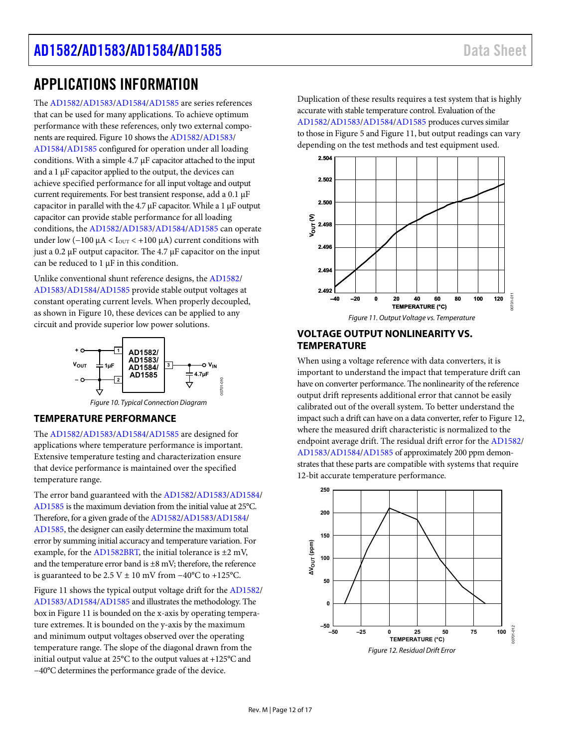# <span id="page-11-0"></span>APPLICATIONS INFORMATION

The [AD1582/](http://www.analog.com/AD1582?doc=AD1582_1583_1584_1585.pdf)[AD1583/](http://www.analog.com/AD1583?doc=AD1582_1583_1584_1585.pdf)[AD1584/](http://www.analog.com/AD1584?doc=AD1582_1583_1584_1585.pdf)[AD1585 a](http://www.analog.com/AD1585?doc=AD1582_1583_1584_1585.pdf)re series references that can be used for many applications. To achieve optimum performance with these references, only two external components are required[. Figure 10 s](#page-11-3)hows th[e AD1582/](http://www.analog.com/AD1582?doc=AD1582_1583_1584_1585.pdf)[AD1583/](http://www.analog.com/AD1583?doc=AD1582_1583_1584_1585.pdf) [AD1584/](http://www.analog.com/AD1584?doc=AD1582_1583_1584_1585.pdf)[AD1585 c](http://www.analog.com/AD1585?doc=AD1582_1583_1584_1585.pdf)onfigured for operation under all loading conditions. With a simple 4.7 μF capacitor attached to the input and a 1 μF capacitor applied to the output, the devices can achieve specified performance for all input voltage and output current requirements. For best transient response, add a 0.1 μF capacitor in parallel with the 4.7 μF capacitor. While a 1 μF output capacitor can provide stable performance for all loading conditions, th[e AD1582](http://www.analog.com/AD1582?doc=AD1582_1583_1584_1585.pdf)[/AD1583](http://www.analog.com/AD1583?doc=AD1582_1583_1584_1585.pdf)[/AD1584/](http://www.analog.com/AD1584?doc=AD1582_1583_1584_1585.pdf)[AD1585 c](http://www.analog.com/AD1585?doc=AD1582_1583_1584_1585.pdf)an operate under low ( $-100 \mu A <$  I<sub>OUT</sub> <  $+100 \mu A$ ) current conditions with just a 0.2 μF output capacitor. The 4.7 μF capacitor on the input can be reduced to  $1 \mu$ F in this condition.

Unlike conventional shunt reference designs, the [AD1582/](http://www.analog.com/AD1582?doc=AD1582_1583_1584_1585.pdf) [AD1583/](http://www.analog.com/AD1583?doc=AD1582_1583_1584_1585.pdf)[AD1584/](http://www.analog.com/AD1584?doc=AD1582_1583_1584_1585.pdf)[AD1585 p](http://www.analog.com/AD1585?doc=AD1582_1583_1584_1585.pdf)rovide stable output voltages at constant operating current levels. When properly decoupled, as shown i[n Figure 10,](#page-11-3) these devices can be applied to any circuit and provide superior low power solutions.



# Figure 10. Typical Connection Diagram

#### <span id="page-11-3"></span><span id="page-11-1"></span>**TEMPERATURE PERFORMANCE**

The [AD1582/](http://www.analog.com/AD1582?doc=AD1582_1583_1584_1585.pdf)[AD1583/](http://www.analog.com/AD1583?doc=AD1582_1583_1584_1585.pdf)[AD1584/](http://www.analog.com/AD1584?doc=AD1582_1583_1584_1585.pdf)[AD1585 a](http://www.analog.com/AD1585?doc=AD1582_1583_1584_1585.pdf)re designed for applications where temperature performance is important. Extensive temperature testing and characterization ensure that device performance is maintained over the specified temperature range.

The error band guaranteed with th[e AD1582/](http://www.analog.com/AD1582?doc=AD1582_1583_1584_1585.pdf)[AD1583](http://www.analog.com/AD1583?doc=AD1582_1583_1584_1585.pdf)[/AD1584/](http://www.analog.com/AD1584?doc=AD1582_1583_1584_1585.pdf) [AD1585 i](http://www.analog.com/AD1585?doc=AD1582_1583_1584_1585.pdf)s the maximum deviation from the initial value at 25°C. Therefore, for a given grade of th[e AD1582](http://www.analog.com/AD1582?doc=AD1582_1583_1584_1585.pdf)[/AD1583](http://www.analog.com/AD1583?doc=AD1582_1583_1584_1585.pdf)[/AD1584/](http://www.analog.com/AD1584?doc=AD1582_1583_1584_1585.pdf) [AD1585,](http://www.analog.com/AD1585?doc=AD1582_1583_1584_1585.pdf) the designer can easily determine the maximum total error by summing initial accuracy and temperature variation. For example, for the [AD1582BRT,](http://www.analog.com/AD1582?doc=AD1582_1583_1584_1585.pdf) the initial tolerance is  $\pm 2$  mV, and the temperature error band is ±8 mV; therefore, the reference is guaranteed to be 2.5 V ± 10 mV from  $-40^{\circ}$ C to +125°C.

[Figure 11 s](#page-11-4)hows the typical output voltage drift for th[e AD1582/](http://www.analog.com/AD1582?doc=AD1582_1583_1584_1585.pdf) [AD1583/](http://www.analog.com/AD1583?doc=AD1582_1583_1584_1585.pdf)[AD1584/](http://www.analog.com/AD1584?doc=AD1582_1583_1584_1585.pdf)[AD1585 a](http://www.analog.com/AD1585?doc=AD1582_1583_1584_1585.pdf)nd illustrates the methodology. The box i[n Figure 11 i](#page-11-4)s bounded on the x-axis by operating temperature extremes. It is bounded on the y-axis by the maximum and minimum output voltages observed over the operating temperature range. The slope of the diagonal drawn from the initial output value at 25°C to the output values at +125°C and −40°C determines the performance grade of the device.

Duplication of these results requires a test system that is highly accurate with stable temperature control. Evaluation of the [AD1582/](http://www.analog.com/AD1582?doc=AD1582_1583_1584_1585.pdf)[AD1583/](http://www.analog.com/AD1583?doc=AD1582_1583_1584_1585.pdf)[AD1584/](http://www.analog.com/AD1584?doc=AD1582_1583_1584_1585.pdf)[AD1585 p](http://www.analog.com/AD1585?doc=AD1582_1583_1584_1585.pdf)roduces curves similar to those i[n Figure 5 a](#page-9-1)n[d Figure 11,](#page-11-4) but output readings can vary depending on the test methods and test equipment used.



Figure 11. Output Voltage vs. Temperature

### <span id="page-11-4"></span><span id="page-11-2"></span>**VOLTAGE OUTPUT NONLINEARITY VS. TEMPERATURE**

When using a voltage reference with data converters, it is important to understand the impact that temperature drift can have on converter performance. The nonlinearity of the reference output drift represents additional error that cannot be easily calibrated out of the overall system. To better understand the impact such a drift can have on a data converter, refer t[o Figure 12,](#page-11-5)  where the measured drift characteristic is normalized to the endpoint average drift. The residual drift error for th[e AD1582/](http://www.analog.com/AD1582?doc=AD1582_1583_1584_1585.pdf) [AD1583/](http://www.analog.com/AD1583?doc=AD1582_1583_1584_1585.pdf)[AD1584/](http://www.analog.com/AD1584?doc=AD1582_1583_1584_1585.pdf)[AD1585 o](http://www.analog.com/AD1585?doc=AD1582_1583_1584_1585.pdf)f approximately 200 ppm demonstrates that these parts are compatible with systems that require 12-bit accurate temperature performance.

<span id="page-11-5"></span>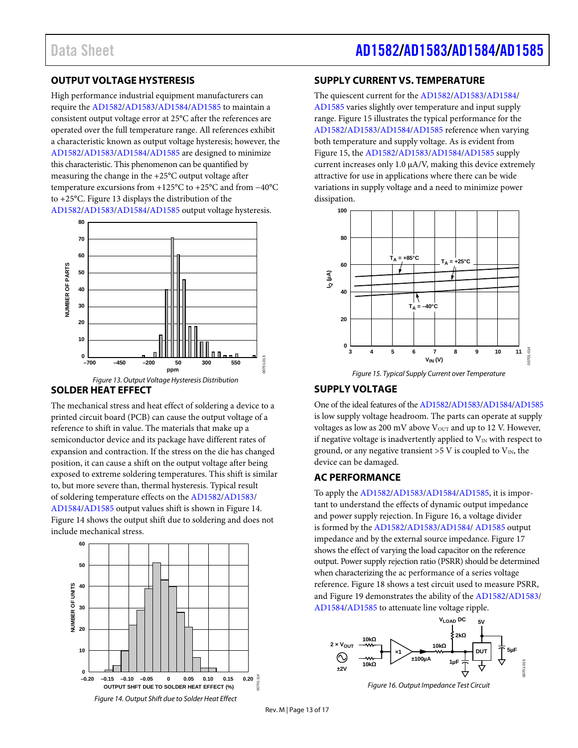# Data Sheet **[AD1582/](https://www.analog.com/AD1582?doc=AD1582_1583_1584_1585.pdf)[AD1583](https://www.analog.com/AD1583?doc=AD1582_1583_1584_1585.pdf)[/AD1584](https://www.analog.com/AD1584?doc=AD1582_1583_1584_1585.pdf)[/AD1585](https://www.analog.com/AD1585?doc=AD1582_1583_1584_1585.pdf)**

### <span id="page-12-0"></span>**OUTPUT VOLTAGE HYSTERESIS**

High performance industrial equipment manufacturers can require th[e AD1582/](http://www.analog.com/AD1582?doc=AD1582_1583_1584_1585.pdf)[AD1583/](http://www.analog.com/AD1583?doc=AD1582_1583_1584_1585.pdf)[AD1584/](http://www.analog.com/AD1584?doc=AD1582_1583_1584_1585.pdf)[AD1585](http://www.analog.com/AD1585?doc=AD1582_1583_1584_1585.pdf) to maintain a consistent output voltage error at 25°C after the references are operated over the full temperature range. All references exhibit a characteristic known as output voltage hysteresis; however, the [AD1582/](http://www.analog.com/AD1582?doc=AD1582_1583_1584_1585.pdf)[AD1583/](http://www.analog.com/AD1583?doc=AD1582_1583_1584_1585.pdf)[AD1584/](http://www.analog.com/AD1584?doc=AD1582_1583_1584_1585.pdf)[AD1585](http://www.analog.com/AD1585?doc=AD1582_1583_1584_1585.pdf) are designed to minimize this characteristic. This phenomenon can be quantified by measuring the change in the +25°C output voltage after temperature excursions from +125°C to +25°C and from −40°C to +25°C[. Figure 13](#page-12-5) displays the distribution of the [AD1582/](http://www.analog.com/AD1582?doc=AD1582_1583_1584_1585.pdf)[AD1583/](http://www.analog.com/AD1583?doc=AD1582_1583_1584_1585.pdf)[AD1584/](http://www.analog.com/AD1584?doc=AD1582_1583_1584_1585.pdf)[AD1585](http://www.analog.com/AD1585?doc=AD1582_1583_1584_1585.pdf) output voltage hysteresis.



### <span id="page-12-5"></span><span id="page-12-1"></span>**SOLDER HEAT EFFECT**

The mechanical stress and heat effect of soldering a device to a printed circuit board (PCB) can cause the output voltage of a reference to shift in value. The materials that make up a semiconductor device and its package have different rates of expansion and contraction. If the stress on the die has changed position, it can cause a shift on the output voltage after being exposed to extreme soldering temperatures. This shift is similar to, but more severe than, thermal hysteresis. Typical result of soldering temperature effects on th[e AD1582/](http://www.analog.com/AD1582?doc=AD1582_1583_1584_1585.pdf)[AD1583/](http://www.analog.com/AD1583?doc=AD1582_1583_1584_1585.pdf) [AD1584/](http://www.analog.com/AD1584?doc=AD1582_1583_1584_1585.pdf)[AD1585](http://www.analog.com/AD1585?doc=AD1582_1583_1584_1585.pdf) output values shift is shown in [Figure](#page-12-6) 14. [Figure](#page-12-6) 14 shows the output shift due to soldering and does not include mechanical stress.

<span id="page-12-6"></span>

### <span id="page-12-2"></span>**SUPPLY CURRENT VS. TEMPERATURE**

The quiescent current for th[e AD1582](http://www.analog.com/AD1582?doc=AD1582_1583_1584_1585.pdf)[/AD1583/](http://www.analog.com/AD1583?doc=AD1582_1583_1584_1585.pdf)[AD1584/](http://www.analog.com/AD1584?doc=AD1582_1583_1584_1585.pdf) [AD1585](http://www.analog.com/AD1585?doc=AD1582_1583_1584_1585.pdf) varies slightly over temperature and input supply range[. Figure](#page-12-7) 15 illustrates the typical performance for the [AD1582/](http://www.analog.com/AD1582?doc=AD1582_1583_1584_1585.pdf)[AD1583/](http://www.analog.com/AD1583?doc=AD1582_1583_1584_1585.pdf)[AD1584/](http://www.analog.com/AD1584?doc=AD1582_1583_1584_1585.pdf)[AD1585](http://www.analog.com/AD1585?doc=AD1582_1583_1584_1585.pdf) reference when varying both temperature and supply voltage. As is evident from [Figure](#page-12-7) 15, the [AD1582](http://www.analog.com/AD1582?doc=AD1582_1583_1584_1585.pdf)[/AD1583/](http://www.analog.com/AD1583?doc=AD1582_1583_1584_1585.pdf)[AD1584/](http://www.analog.com/AD1584?doc=AD1582_1583_1584_1585.pdf)[AD1585](http://www.analog.com/AD1585?doc=AD1582_1583_1584_1585.pdf) supply current increases only  $1.0 \mu A/V$ , making this device extremely attractive for use in applications where there can be wide variations in supply voltage and a need to minimize power dissipation.



### <span id="page-12-7"></span><span id="page-12-3"></span>**SUPPLY VOLTAGE**

One of the ideal features of th[e AD1582/](http://www.analog.com/AD1582?doc=AD1582_1583_1584_1585.pdf)[AD1583/](http://www.analog.com/AD1583?doc=AD1582_1583_1584_1585.pdf)[AD1584/](http://www.analog.com/AD1584?doc=AD1582_1583_1584_1585.pdf)[AD1585](http://www.analog.com/AD1585?doc=AD1582_1583_1584_1585.pdf) is low supply voltage headroom. The parts can operate at supply voltages as low as 200 mV above  $V<sub>OUT</sub>$  and up to 12 V. However, if negative voltage is inadvertently applied to  $V_{IN}$  with respect to ground, or any negative transient >5 V is coupled to  $V_{IN}$ , the device can be damaged.

### <span id="page-12-4"></span>**AC PERFORMANCE**

To apply th[e AD1582](http://www.analog.com/AD1582?doc=AD1582_1583_1584_1585.pdf)[/AD1583](http://www.analog.com/AD1583?doc=AD1582_1583_1584_1585.pdf)[/AD1584/](http://www.analog.com/AD1584?doc=AD1582_1583_1584_1585.pdf)[AD1585,](http://www.analog.com/AD1585?doc=AD1582_1583_1584_1585.pdf) it is important to understand the effects of dynamic output impedance and power supply rejection. I[n Figure 16,](#page-12-8) a voltage divider is formed by th[e AD1582/](http://www.analog.com/AD1582?doc=AD1582_1583_1584_1585.pdf)[AD1583/](http://www.analog.com/AD1583?doc=AD1582_1583_1584_1585.pdf)[AD1584/](http://www.analog.com/AD1584?doc=AD1582_1583_1584_1585.pdf) [AD1585](http://www.analog.com/AD1585?doc=AD1582_1583_1584_1585.pdf) output impedance and by the external source impedance[. Figure](#page-13-2) 17 shows the effect of varying the load capacitor on the reference output. Power supply rejection ratio (PSRR) should be determined when characterizing the ac performance of a series voltage reference. [Figure 18](#page-13-3) shows a test circuit used to measure PSRR, an[d Figure 19](#page-13-4) demonstrates the ability of the [AD1582/](http://www.analog.com/AD1582?doc=AD1582_1583_1584_1585.pdf)[AD1583/](http://www.analog.com/AD1583?doc=AD1582_1583_1584_1585.pdf) [AD1584/](http://www.analog.com/AD1584?doc=AD1582_1583_1584_1585.pdf)[AD1585](http://www.analog.com/AD1585?doc=AD1582_1583_1584_1585.pdf) to attenuate line voltage ripple.



<span id="page-12-8"></span>*Figure 16. Output Impedance Test Circuit*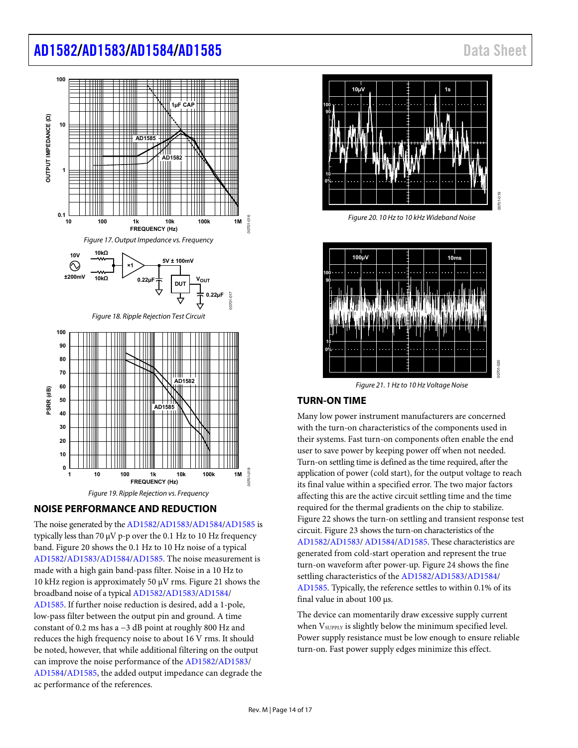<span id="page-13-2"></span>

### <span id="page-13-4"></span><span id="page-13-3"></span><span id="page-13-0"></span>**NOISE PERFORMANCE AND REDUCTION**

The noise generated by th[e AD1582](http://www.analog.com/AD1582?doc=AD1582_1583_1584_1585.pdf)[/AD1583/](http://www.analog.com/AD1583?doc=AD1582_1583_1584_1585.pdf)[AD1584/](http://www.analog.com/AD1584?doc=AD1582_1583_1584_1585.pdf)[AD1585 i](http://www.analog.com/AD1585?doc=AD1582_1583_1584_1585.pdf)s typically less than 70  $\mu$ V p-p over the 0.1 Hz to 10 Hz frequency band. [Figure 20 s](#page-13-5)hows the 0.1 Hz to 10 Hz noise of a typical [AD1582/](http://www.analog.com/AD1582?doc=AD1582_1583_1584_1585.pdf)[AD1583/](http://www.analog.com/AD1583?doc=AD1582_1583_1584_1585.pdf)[AD1584/](http://www.analog.com/AD1584?doc=AD1582_1583_1584_1585.pdf)[AD1585.](http://www.analog.com/AD1585?doc=AD1582_1583_1584_1585.pdf) The noise measurement is made with a high gain band-pass filter. Noise in a 10 Hz to 10 kHz region is approximately 50 μV rms[. Figure 21](#page-13-6) shows the broadband noise of a typica[l AD1582](http://www.analog.com/AD1582?doc=AD1582_1583_1584_1585.pdf)[/AD1583/](http://www.analog.com/AD1583?doc=AD1582_1583_1584_1585.pdf)[AD1584](http://www.analog.com/AD1584?doc=AD1582_1583_1584_1585.pdf)/ [AD1585.](http://www.analog.com/AD1585?doc=AD1582_1583_1584_1585.pdf) If further noise reduction is desired, add a 1-pole, low-pass filter between the output pin and ground. A time constant of 0.2 ms has a −3 dB point at roughly 800 Hz and reduces the high frequency noise to about 16 V rms. It should be noted, however, that while additional filtering on the output can improve the noise performance of th[e AD1582](http://www.analog.com/AD1582?doc=AD1582_1583_1584_1585.pdf)[/AD1583/](http://www.analog.com/AD1583?doc=AD1582_1583_1584_1585.pdf) [AD1584/](http://www.analog.com/AD1584?doc=AD1582_1583_1584_1585.pdf)[AD1585,](http://www.analog.com/AD1585?doc=AD1582_1583_1584_1585.pdf) the added output impedance can degrade the ac performance of the references.



Figure 20. 10 Hz to 10 kHz Wideband Noise

<span id="page-13-5"></span>

Figure 21. 1 Hz to 10 Hz Voltage Noise

### <span id="page-13-6"></span><span id="page-13-1"></span>**TURN-ON TIME**

Many low power instrument manufacturers are concerned with the turn-on characteristics of the components used in their systems. Fast turn-on components often enable the end user to save power by keeping power off when not needed. Turn-on settling time is defined as the time required, after the application of power (cold start), for the output voltage to reach its final value within a specified error. The two major factors affecting this are the active circuit settling time and the time required for the thermal gradients on the chip to stabilize. [Figure 22 s](#page-14-1)hows the turn-on settling and transient response test circuit[. Figure 23](#page-14-2) shows the turn-on characteristics of the [AD1582/](http://www.analog.com/AD1582?doc=AD1582_1583_1584_1585.pdf)[AD1583/](http://www.analog.com/AD1583?doc=AD1582_1583_1584_1585.pdf) [AD1584/](http://www.analog.com/AD1584?doc=AD1582_1583_1584_1585.pdf)[AD1585.](http://www.analog.com/AD1585?doc=AD1582_1583_1584_1585.pdf) These characteristics are generated from cold-start operation and represent the true turn-on waveform after power-u[p. Figure 24](#page-14-3) shows the fine settling characteristics of th[e AD1582](http://www.analog.com/AD1582?doc=AD1582_1583_1584_1585.pdf)[/AD1583](http://www.analog.com/AD1583?doc=AD1582_1583_1584_1585.pdf)[/AD1584/](http://www.analog.com/AD1584?doc=AD1582_1583_1584_1585.pdf) [AD1585.](http://www.analog.com/AD1585?doc=AD1582_1583_1584_1585.pdf) Typically, the reference settles to within 0.1% of its final value in about 100 μs.

The device can momentarily draw excessive supply current when V<sub>SUPPLY</sub> is slightly below the minimum specified level. Power supply resistance must be low enough to ensure reliable turn-on. Fast power supply edges minimize this effect.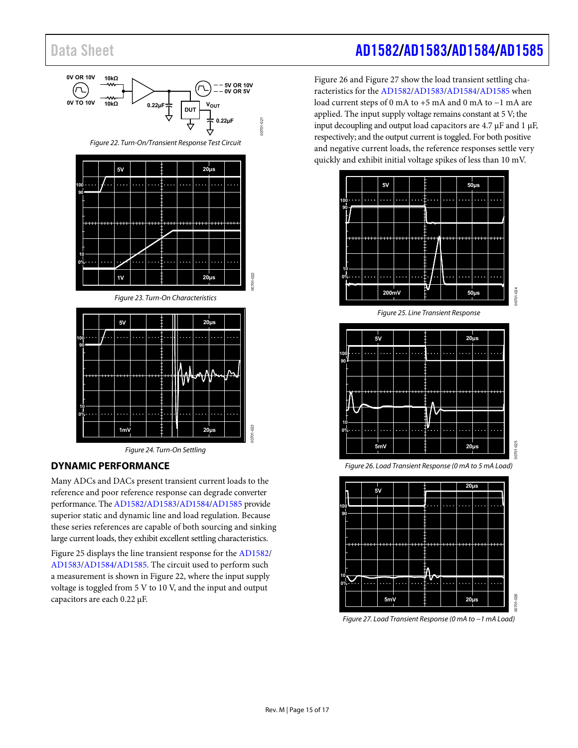<span id="page-14-1"></span>

#### <span id="page-14-3"></span><span id="page-14-2"></span><span id="page-14-0"></span>**DYNAMIC PERFORMANCE**

Many ADCs and DACs present transient current loads to the reference and poor reference response can degrade converter performance. Th[e AD1582](http://www.analog.com/AD1582?doc=AD1582_1583_1584_1585.pdf)[/AD1583](http://www.analog.com/AD1583?doc=AD1582_1583_1584_1585.pdf)[/AD1584/](http://www.analog.com/AD1584?doc=AD1582_1583_1584_1585.pdf)[AD1585 p](http://www.analog.com/AD1585?doc=AD1582_1583_1584_1585.pdf)rovide superior static and dynamic line and load regulation. Because these series references are capable of both sourcing and sinking large current loads, they exhibit excellent settling characteristics.

[Figure 25 d](#page-14-4)isplays the line transient response for the [AD1582/](http://www.analog.com/AD1582?doc=AD1582_1583_1584_1585.pdf) [AD1583/](http://www.analog.com/AD1583?doc=AD1582_1583_1584_1585.pdf)[AD1584/](http://www.analog.com/AD1584?doc=AD1582_1583_1584_1585.pdf)[AD1585.](http://www.analog.com/AD1585?doc=AD1582_1583_1584_1585.pdf) The circuit used to perform such a measurement is shown in [Figure 22,](#page-14-1) where the input supply voltage is toggled from 5 V to 10 V, and the input and output capacitors are each 0.22 μF.

# Data Sheet **[AD1582/](https://www.analog.com/AD1582?doc=AD1582_1583_1584_1585.pdf)[AD1583](https://www.analog.com/AD1583?doc=AD1582_1583_1584_1585.pdf)[/AD1584](https://www.analog.com/AD1584?doc=AD1582_1583_1584_1585.pdf)[/AD1585](https://www.analog.com/AD1585?doc=AD1582_1583_1584_1585.pdf)**

[Figure 26 a](#page-14-5)nd [Figure 27 s](#page-14-6)how the load transient settling characteristics for th[e AD1582/](http://www.analog.com/AD1582?doc=AD1582_1583_1584_1585.pdf)[AD1583/](http://www.analog.com/AD1583?doc=AD1582_1583_1584_1585.pdf)[AD1584/](http://www.analog.com/AD1584?doc=AD1582_1583_1584_1585.pdf)[AD1585](http://www.analog.com/AD1585?doc=AD1582_1583_1584_1585.pdf) when load current steps of 0 mA to +5 mA and 0 mA to −1 mA are applied. The input supply voltage remains constant at 5 V; the input decoupling and output load capacitors are 4.7 μF and 1 μF, respectively; and the output current is toggled. For both positive and negative current loads, the reference responses settle very quickly and exhibit initial voltage spikes of less than 10 mV.



<span id="page-14-4"></span>

<span id="page-14-5"></span>Figure 26. Load Transient Response (0 mA to 5 mA Load)



<span id="page-14-6"></span>Figure 27. Load Transient Response (0 mA to −1 mA Load)

00701-026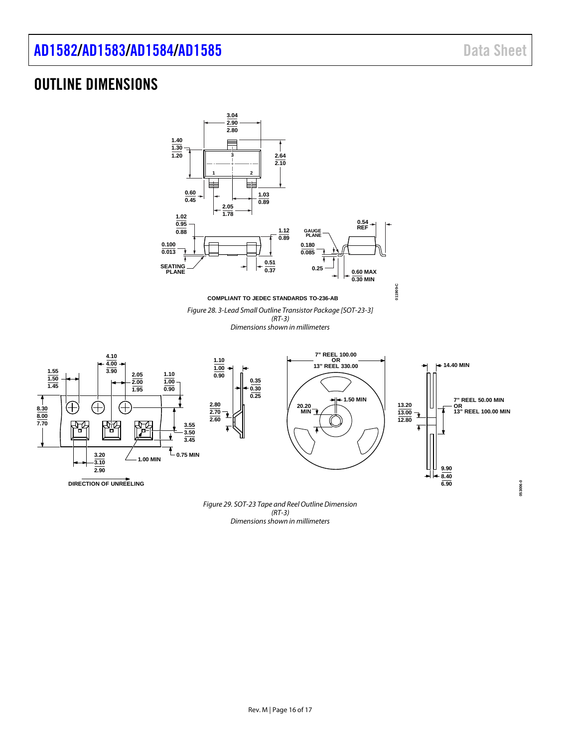**053006-0**

# <span id="page-15-0"></span>OUTLINE DIMENSIONS

**1.55 1.50 1.45**

**8.30 8.00 7.70**



*(RT-3) Dimensions shown in millimeters*